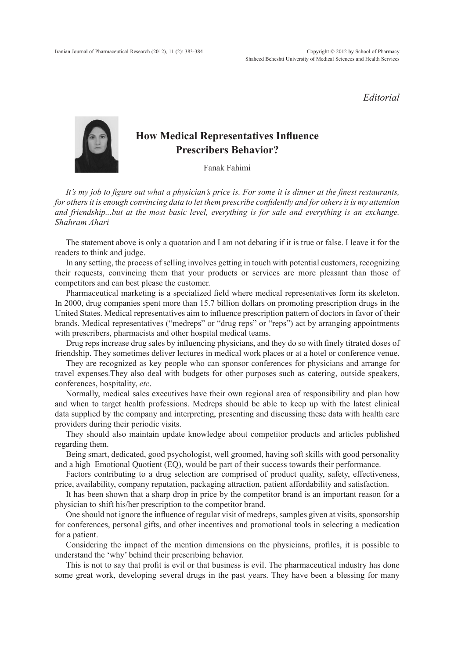*Editorial*



## **How Medical Representatives Influence Prescribers Behavior?**

Fanak Fahimi

*It's my job to figure out what a physician's price is. For some it is dinner at the finest restaurants, for others it is enough convincing data to let them prescribe confidently and for others it is my attention and friendship...but at the most basic level, everything is for sale and everything is an exchange. Shahram Ahari*

The statement above is only a quotation and I am not debating if it is true or false. I leave it for the readers to think and judge.

In any setting, the process of selling involves getting in touch with potential customers, recognizing their requests, convincing them that your products or services are more pleasant than those of competitors and can best please the customer.

Pharmaceutical marketing is a specialized field where medical representatives form its skeleton. In 2000, drug companies spent more than 15.7 billion dollars on promoting prescription drugs in the United States. Medical representatives aim to influence prescription pattern of doctors in favor of their brands. Medical representatives ("medreps" or "drug reps" or "reps") act by arranging appointments with prescribers, pharmacists and other hospital medical teams.

Drug reps increase drug sales by influencing physicians, and they do so with finely titrated doses of friendship. They sometimes deliver lectures in medical work places or at a hotel or conference venue.

They are recognized as key people who can sponsor conferences for physicians and arrange for travel expenses.They also deal with budgets for other purposes such as catering, outside speakers, conferences, hospitality, *etc*.

Normally, medical sales executives have their own regional area of responsibility and plan how and when to target health professions. Medreps should be able to keep up with the latest clinical data supplied by the company and interpreting, presenting and discussing these data with health care providers during their periodic visits.

They should also maintain update knowledge about competitor products and articles published regarding them.

Being smart, dedicated, good psychologist, well groomed, having soft skills with good personality and a high Emotional Quotient (EQ), would be part of their success towards their performance.

Factors contributing to a drug selection are comprised of product quality, safety, effectiveness, price, availability, company reputation, packaging attraction, patient affordability and satisfaction.

It has been shown that a sharp drop in price by the competitor brand is an important reason for a physician to shift his/her prescription to the competitor brand.

One should not ignore the influence of regular visit of medreps, samples given at visits, sponsorship for conferences, personal gifts, and other incentives and promotional tools in selecting a medication for a patient.

Considering the impact of the mention dimensions on the physicians, profiles, it is possible to understand the 'why' behind their prescribing behavior.

This is not to say that profit is evil or that business is evil. The pharmaceutical industry has done some great work, developing several drugs in the past years. They have been a blessing for many